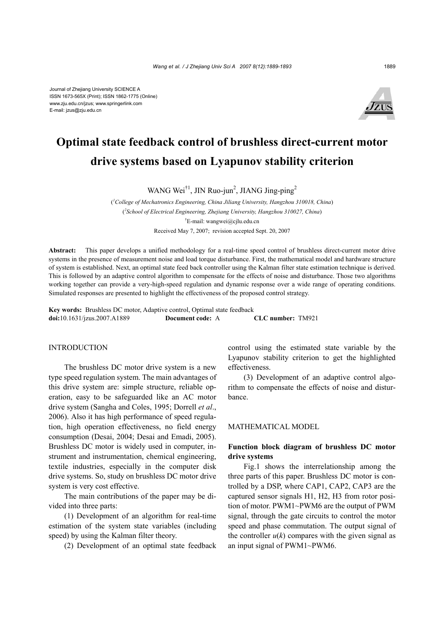

# **Optimal state feedback control of brushless direct-current motor drive systems based on Lyapunov stability criterion**

WANG Wei<sup>†1</sup>, JIN Ruo-jun<sup>2</sup>, JIANG Jing-ping<sup>2</sup>

( *1 College of Mechatronics Engineering, China Jiliang University, Hangzhou 310018, China*) ( *2 School of Electrical Engineering, Zhejiang University, Hangzhou 310027, China*) † E-mail: wangwei@cjlu.edu.cn Received May 7, 2007; revision accepted Sept. 20, 2007

**Abstract:** This paper develops a unified methodology for a real-time speed control of brushless direct-current motor drive systems in the presence of measurement noise and load torque disturbance. First, the mathematical model and hardware structure of system is established. Next, an optimal state feed back controller using the Kalman filter state estimation technique is derived. This is followed by an adaptive control algorithm to compensate for the effects of noise and disturbance. Those two algorithms working together can provide a very-high-speed regulation and dynamic response over a wide range of operating conditions. Simulated responses are presented to highlight the effectiveness of the proposed control strategy.

**Key words:** Brushless DC motor, Adaptive control, Optimal state feedback **doi:**10.1631/jzus.2007.A1889 **Document code:** A **CLC number:** TM921

#### INTRODUCTION

The brushless DC motor drive system is a new type speed regulation system. The main advantages of this drive system are: simple structure, reliable operation, easy to be safeguarded like an AC motor drive system (Sangha and Coles, 1995; Dorrell *et al*., 2006). Also it has high performance of speed regulation, high operation effectiveness, no field energy consumption (Desai, 2004; Desai and Emadi, 2005). Brushless DC motor is widely used in computer, instrument and instrumentation, chemical engineering, textile industries, especially in the computer disk drive systems. So, study on brushless DC motor drive system is very cost effective.

The main contributions of the paper may be divided into three parts:

(1) Development of an algorithm for real-time estimation of the system state variables (including speed) by using the Kalman filter theory.

(2) Development of an optimal state feedback

control using the estimated state variable by the Lyapunov stability criterion to get the highlighted effectiveness.

(3) Development of an adaptive control algorithm to compensate the effects of noise and disturbance.

#### MATHEMATICAL MODEL

## **Function block diagram of brushless DC motor drive systems**

Fig.1 shows the interrelationship among the three parts of this paper. Brushless DC motor is controlled by a DSP, where CAP1, CAP2, CAP3 are the captured sensor signals H1, H2, H3 from rotor position of motor. PWM1~PWM6 are the output of PWM signal, through the gate circuits to control the motor speed and phase commutation. The output signal of the controller  $u(k)$  compares with the given signal as an input signal of PWM1~PWM6.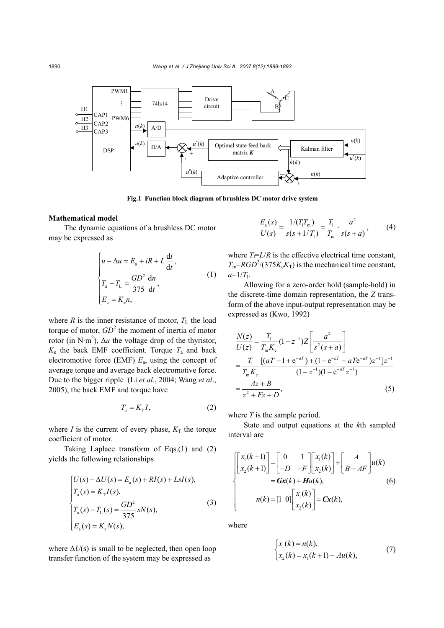

**Fig.1 Function block diagram of brushless DC motor drive system** 

## **Mathematical model**

The dynamic equations of a brushless DC motor may be expressed as

$$
\begin{cases}\n u - \Delta u = E_a + iR + L \frac{di}{dt}, \\
 T_a - T_L = \frac{GD^2}{375} \frac{dn}{dt}, \\
 E_a = K_e n,\n\end{cases}
$$
\n(1)

where  $R$  is the inner resistance of motor,  $T_L$  the load torque of motor,  $GD^2$  the moment of inertia of motor rotor (in N·m<sup>2</sup>),  $\Delta u$  the voltage drop of the thyristor,  $K_e$  the back EMF coefficient. Torque  $T_a$  and back electromotive force (EMF) *E*a, using the concept of average torque and average back electromotive force. Due to the bigger ripple (Li *et al*., 2004; Wang *et al*., 2005), the back EMF and torque have

$$
T_{\rm a} = K_{\rm T} I,\tag{2}
$$

where *I* is the current of every phase,  $K_T$  the torque coefficient of motor.

Taking Laplace transform of Eqs.(1) and (2) yields the following relationships

$$
\begin{cases}\nU(s) - \Delta U(s) = E_a(s) + RI(s) + LsI(s), \\
T_a(s) = K_{\rm T}I(s), \\
T_a(s) - T_{\rm L}(s) = \frac{GD^2}{375} sN(s), \\
E_a(s) = K_{\rm e}N(s),\n\end{cases} \tag{3}
$$

where  $\Delta U(s)$  is small to be neglected, then open loop transfer function of the system may be expressed as

$$
\frac{E_{a}(s)}{U(s)} = \frac{1/(T_1 T_m)}{s(s+1/T_1)} = \frac{T_1}{T_m} \cdot \frac{a^2}{s(s+a)},
$$
(4)

where  $T_1 = L/R$  is the effective electrical time constant,  $T_m = RGD^2/(375K_eK_T)$  is the mechanical time constant,  $a=1/T_1$ .

Allowing for a zero-order hold (sample-hold) in the discrete-time domain representation, the *Z* transform of the above input-output representation may be expressed as (Kwo, 1992)

$$
\frac{N(z)}{U(z)} = \frac{T_1}{T_m K_e} (1 - z^{-1}) Z \left[ \frac{a^2}{s^2 (s + a)} \right]
$$
  
= 
$$
\frac{T_1}{T_m K_e} \frac{[(aT - 1 + e^{-aT}) + (1 - e^{-aT} - aTe^{-aT})z^{-1}]z^{-1}}{(1 - z^{-1})(1 - e^{-aT}z^{-1})}
$$
  
= 
$$
\frac{Az + B}{z^2 + Fz + D},
$$
 (5)

where *T* is the sample period.

State and output equations at the *k*th sampled interval are

$$
\begin{cases}\n\begin{bmatrix}\nx_1(k+1) \\
x_2(k+1)\n\end{bmatrix} =\n\begin{bmatrix}\n0 & 1 \\
-D & -F\n\end{bmatrix}\n\begin{bmatrix}\nx_1(k) \\
x_2(k)\n\end{bmatrix} +\n\begin{bmatrix}\nA \\
B - AF\n\end{bmatrix} u(k) \\
= \mathbf{Gx}(k) + \mathbf{H}u(k), \\
n(k) = \begin{bmatrix}\n1 & 0\n\end{bmatrix}\n\begin{bmatrix}\nx_1(k) \\
x_2(k)\n\end{bmatrix} = \mathbf{Cx}(k),\n\end{cases}
$$
\n(6)

where

$$
\begin{cases} x_1(k) = n(k), \\ x_2(k) = x_1(k+1) - Au(k), \end{cases}
$$
 (7)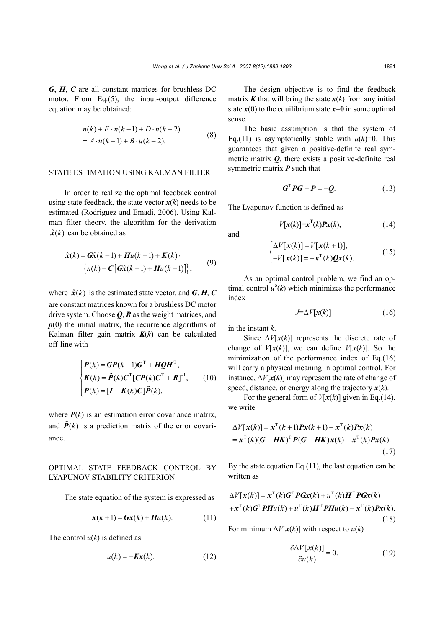*G*, *H*, *C* are all constant matrices for brushless DC motor. From Eq.(5), the input-output difference equation may be obtained:

$$
n(k) + F \cdot n(k-1) + D \cdot n(k-2)
$$
  
=  $A \cdot u(k-1) + B \cdot u(k-2)$ . (8)

#### STATE ESTIMATION USING KALMAN FILTER

In order to realize the optimal feedback control using state feedback, the state vector  $x(k)$  needs to be estimated (Rodriguez and Emadi, 2006). Using Kalman filter theory, the algorithm for the derivation  $\hat{x}(k)$  can be obtained as

$$
\hat{\mathbf{x}}(k) = \mathbf{G}\hat{\mathbf{x}}(k-1) + \mathbf{H}u(k-1) + \mathbf{K}(k) \cdot
$$
  

$$
\left\{ n(k) - \mathbf{C} \left[ \mathbf{G}\hat{\mathbf{x}}(k-1) + \mathbf{H}u(k-1) \right] \right\},
$$
 (9)

where  $\hat{x}(k)$  is the estimated state vector, and *G*, *H*, *C* are constant matrices known for a brushless DC motor drive system. Choose *Q*, *R* as the weight matrices, and  $p(0)$  the initial matrix, the recurrence algorithms of Kalman filter gain matrix  $K(k)$  can be calculated off-line with

$$
\begin{cases}\nP(k) = GP(k-1)G^{\mathrm{T}} + HQH^{\mathrm{T}},\nK(k) = \tilde{P}(k)C^{\mathrm{T}}[CP(k)C^{\mathrm{T}} + R]^{-1}, \quad (10) \\
P(k) = [I - K(k)C]\tilde{P}(k),\n\end{cases}
$$

where  $P(k)$  is an estimation error covariance matrix, and  $\mathbf{\hat{P}}(k)$  is a prediction matrix of the error covariance.

# OPTIMAL STATE FEEDBACK CONTROL BY LYAPUNOV STABILITY CRITERION

The state equation of the system is expressed as

$$
\mathbf{x}(k+1) = \mathbf{G}\mathbf{x}(k) + \mathbf{H}u(k). \tag{11}
$$

The control *u*(*k*) is defined as

$$
u(k) = -Kx(k). \tag{12}
$$

The design objective is to find the feedback matrix  $\boldsymbol{K}$  that will bring the state  $\boldsymbol{x}(k)$  from any initial state  $x(0)$  to the equilibrium state  $x=0$  in some optimal sense.

The basic assumption is that the system of Eq.(11) is asymptotically stable with  $u(k)=0$ . This guarantees that given a positive-definite real symmetric matrix *Q*, there exists a positive-definite real symmetric matrix *P* such that

$$
G^{\mathrm{T}}PG - P = -Q. \tag{13}
$$

The Lyapunov function is defined as

$$
V[\mathbf{x}(k)] = \mathbf{x}^{\mathrm{T}}(k)\mathbf{P}\mathbf{x}(k),\tag{14}
$$

and

$$
\begin{cases} \Delta V[\mathbf{x}(k)] = V[\mathbf{x}(k+1)], \\ -V[\mathbf{x}(k)] = -\mathbf{x}^{\mathrm{T}}(k)\mathbf{Q}\mathbf{x}(k). \end{cases}
$$
(15)

As an optimal control problem, we find an optimal control  $u^{\circ}(k)$  which minimizes the performance index

$$
J=\Delta V[\mathbf{x}(k)]\tag{16}
$$

in the instant *k*.

Since  $\Delta V[\mathbf{x}(k)]$  represents the discrete rate of change of  $V[x(k)]$ , we can define  $V[x(k)]$ . So the minimization of the performance index of Eq.(16) will carry a physical meaning in optimal control. For instance, ∆*V*[*x*(*k*)] may represent the rate of change of speed, distance, or energy along the trajectory  $x(k)$ .

For the general form of  $V[x(k)]$  given in Eq.(14), we write

$$
\Delta V[\mathbf{x}(k)] = \mathbf{x}^{\mathrm{T}}(k+1)\mathbf{P}\mathbf{x}(k+1) - \mathbf{x}^{\mathrm{T}}(k)\mathbf{P}\mathbf{x}(k)
$$

$$
= \mathbf{x}^{\mathrm{T}}(k)(\mathbf{G} - \mathbf{H}\mathbf{K})^{\mathrm{T}}\mathbf{P}(\mathbf{G} - \mathbf{H}\mathbf{K})\mathbf{x}(k) - \mathbf{x}^{\mathrm{T}}(k)\mathbf{P}\mathbf{x}(k).
$$
(17)

By the state equation Eq.(11), the last equation can be written as

$$
\Delta V[\mathbf{x}(k)] = \mathbf{x}^{\mathrm{T}}(k)\mathbf{G}^{\mathrm{T}}\mathbf{P}\mathbf{G}\mathbf{x}(k) + u^{\mathrm{T}}(k)\mathbf{H}^{\mathrm{T}}\mathbf{P}\mathbf{G}\mathbf{x}(k) + \mathbf{x}^{\mathrm{T}}(k)\mathbf{G}^{\mathrm{T}}\mathbf{P}\mathbf{H}u(k) + u^{\mathrm{T}}(k)\mathbf{H}^{\mathrm{T}}\mathbf{P}\mathbf{H}u(k) - \mathbf{x}^{\mathrm{T}}(k)\mathbf{P}\mathbf{x}(k).
$$
\n(18)

For minimum  $\Delta V[\mathbf{x}(k)]$  with respect to  $u(k)$ 

$$
\frac{\partial \Delta V[\mathbf{x}(k)]}{\partial u(k)} = 0.
$$
 (19)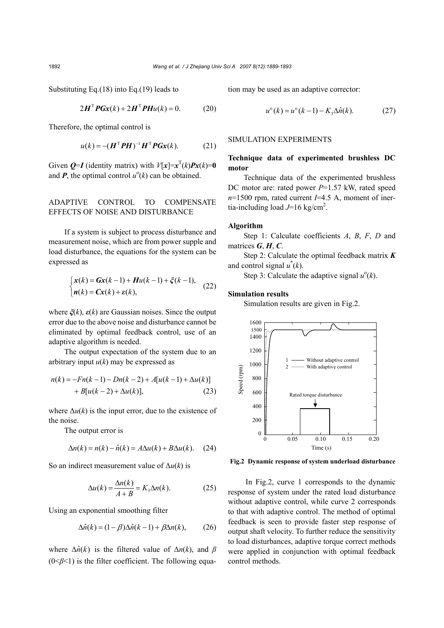Substituting Eq.(18) into Eq.(19) leads to

$$
2HTPGx(k) + 2HTPHu(k) = 0.
$$
 (20)

Therefore, the optimal control is

$$
u(k) = -(\boldsymbol{H}^{\mathrm{T}} \boldsymbol{P} \boldsymbol{H})^{-1} \boldsymbol{H}^{\mathrm{T}} \boldsymbol{P} \boldsymbol{G} \boldsymbol{x}(k). \tag{21}
$$

Given  $Q=I$  (identity matrix) with  $V[x]=x^{T}(k)Px(k)=0$ and  $P$ , the optimal control  $u^{\circ}(k)$  can be obtained.

# ADAPTIVE CONTROL TO COMPENSATE EFFECTS OF NOISE AND DISTURBANCE

If a system is subject to process disturbance and measurement noise, which are from power supple and load disturbance, the equations for the system can be expressed as

$$
\begin{cases} x(k) = Gx(k-1) + Hu(k-1) + \xi(k-1), \\ n(k) = Cx(k) + \varepsilon(k), \end{cases}
$$
 (22)

where *ξ*(*k*), *ε*(*k*) are Gaussian noises. Since the output error due to the above noise and disturbance cannot be eliminated by optimal feedback control, use of an adaptive algorithm is needed.

The output expectation of the system due to an arbitrary input  $u(k)$  may be expressed as

$$
n(k) = -Fn(k-1) - Dn(k-2) + A[u(k-1) + \Delta u(k)]
$$
  
+ B[u(k-2) + \Delta u(k)], (23)

where  $\Delta u(k)$  is the input error, due to the existence of the noise.

The output error is

$$
\Delta n(k) = n(k) - \hat{n}(k) = A\Delta u(k) + B\Delta u(k). \quad (24)
$$

So an indirect measurement value of ∆*u*(*k*) is

$$
\Delta u(k) = \frac{\Delta n(k)}{A+B} = K_{3}\Delta n(k). \tag{25}
$$

Using an exponential smoothing filter

$$
\Delta \hat{n}(k) = (1 - \beta) \Delta \hat{n}(k - 1) + \beta \Delta n(k), \qquad (26)
$$

where  $\Delta \hat{n}(k)$  is the filtered value of  $\Delta n(k)$ , and  $\beta$ (0<*β*<1) is the filter coefficient. The following equation may be used as an adaptive corrector:

$$
u^{\circ}(k) = u^{\circ}(k-1) - K_3 \Delta \hat{n}(k). \tag{27}
$$

## SIMULATION EXPERIMENTS

## **Technique data of experimented brushless DC motor**

Technique data of the experimented brushless DC motor are: rated power *P*=1.57 kW, rated speed *n*=1500 rpm, rated current *I*=4.5 A, moment of inertia-including load  $J=16$  kg/cm<sup>2</sup>.

## **Algorithm**

Step 1: Calculate coefficients *A*, *B*, *F*, *D* and matrices *G*, *H*, *C*.

Step 2: Calculate the optimal feedback matrix *K* and control signal  $u^*(k)$ .

Step 3: Calculate the adaptive signal  $u^{\circ}(k)$ .

### **Simulation results**

Simulation results are given in Fig.2.



**Fig.2 Dynamic response of system underload disturbance** 

 In Fig.2, curve 1 corresponds to the dynamic response of system under the rated load disturbance without adaptive control, while curve 2 corresponds to that with adaptive control. The method of optimal feedback is seen to provide faster step response of output shaft velocity. To further reduce the sensitivity to load disturbances, adaptive torque correct methods were applied in conjunction with optimal feedback control methods.